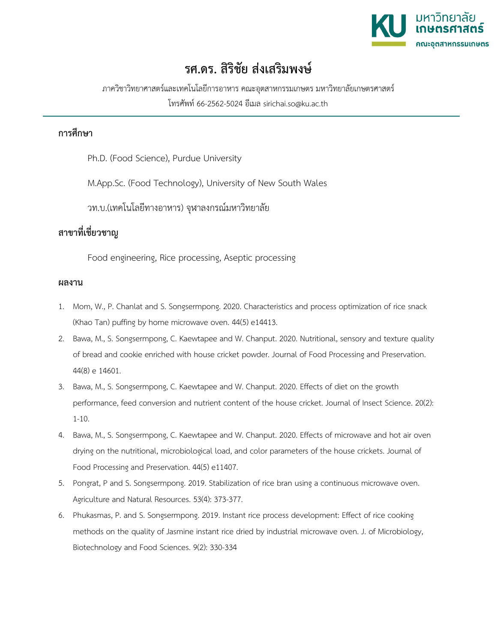

## **รศ.ดร. สิริชัย สงเสริมพงษ**

ภาควิชาวิทยาศาสตรและเทคโนโลยีการอาหาร คณะอุตสาหกรรมเกษตร มหาวิทยาลัยเกษตรศาสตร

โทรศัพท 66-2562-5024 อีเมล sirichai.so@ku.ac.th

## **การศึกษา**

Ph.D. (Food Science), Purdue University

M.App.Sc. (Food Technology), University of New South Wales

วท.บ.(เทคโนโลยีทางอาหาร) จุฬาลงกรณมหาวิทยาลัย

## **สาขาที่เชี่ยวชาญ**

Food engineering, Rice processing, Aseptic processing

## **ผลงาน**

- 1. Mom, W., P. Chanlat and S. Songsermpong. 2020. Characteristics and process optimization of rice snack (Khao Tan) puffing by home microwave oven. 44(5) e14413.
- 2. Bawa, M., S. Songsermpong, C. Kaewtapee and W. Chanput. 2020. Nutritional, sensory and texture quality of bread and cookie enriched with house cricket powder. Journal of Food Processing and Preservation. 44(8) e 14601.
- 3. Bawa, M., S. Songsermpong, C. Kaewtapee and W. Chanput. 2020. Effects of diet on the growth performance, feed conversion and nutrient content of the house cricket. Journal of Insect Science. 20(2): 1-10.
- 4. Bawa, M., S. Songsermpong, C. Kaewtapee and W. Chanput. 2020. Effects of microwave and hot air oven drying on the nutritional, microbiological load, and color parameters of the house crickets. Journal of Food Processing and Preservation. 44(5) e11407.
- 5. Pongrat, P and S. Songsermpong. 2019. Stabilization of rice bran using a continuous microwave oven. Agriculture and Natural Resources. 53(4): 373-377.
- 6. Phukasmas, P. and S. Songsermpong. 2019. Instant rice process development: Effect of rice cooking methods on the quality of Jasmine instant rice dried by industrial microwave oven. J. of Microbiology, Biotechnology and Food Sciences. 9(2): 330-334